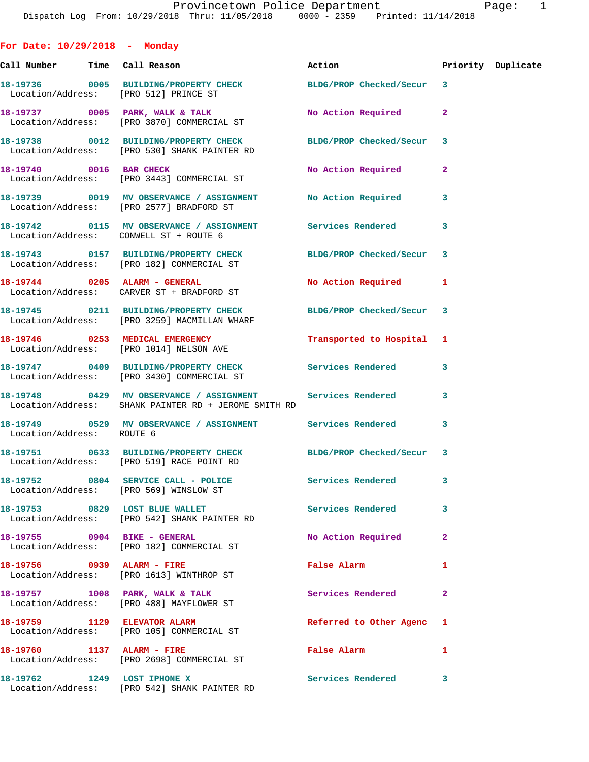| For Date: $10/29/2018$ - Monday        |                                                                                                                    |                           |                         |                    |
|----------------------------------------|--------------------------------------------------------------------------------------------------------------------|---------------------------|-------------------------|--------------------|
|                                        | <u>Call Number — Time Call Reason</u>                                                                              | Action                    |                         | Priority Duplicate |
|                                        | 18-19736 0005 BUILDING/PROPERTY CHECK BLDG/PROP Checked/Secur 3<br>Location/Address: [PRO 512] PRINCE ST           |                           |                         |                    |
|                                        | 18-19737 0005 PARK, WALK & TALK<br>Location/Address: [PRO 3870] COMMERCIAL ST                                      | <b>No Action Required</b> | $\mathbf{2}$            |                    |
|                                        | 18-19738 0012 BUILDING/PROPERTY CHECK BLDG/PROP Checked/Secur<br>Location/Address: [PRO 530] SHANK PAINTER RD      |                           | 3                       |                    |
|                                        | 18-19740 0016 BAR CHECK<br>Location/Address: [PRO 3443] COMMERCIAL ST                                              | No Action Required        | $\overline{a}$          |                    |
|                                        | 18-19739 0019 MV OBSERVANCE / ASSIGNMENT No Action Required<br>Location/Address: [PRO 2577] BRADFORD ST            |                           | 3                       |                    |
| Location/Address: CONWELL ST + ROUTE 6 | 18-19742 0115 MV OBSERVANCE / ASSIGNMENT Services Rendered                                                         |                           | 3                       |                    |
|                                        | 18-19743 0157 BUILDING/PROPERTY CHECK BLDG/PROP Checked/Secur 3<br>Location/Address: [PRO 182] COMMERCIAL ST       |                           |                         |                    |
|                                        | 18-19744 0205 ALARM - GENERAL<br>Location/Address: CARVER ST + BRADFORD ST                                         | No Action Required        | 1                       |                    |
|                                        | 18-19745 0211 BUILDING/PROPERTY CHECK BLDG/PROP Checked/Secur<br>Location/Address: [PRO 3259] MACMILLAN WHARF      |                           | $\overline{\mathbf{3}}$ |                    |
|                                        | 18-19746 0253 MEDICAL EMERGENCY<br>Location/Address: [PRO 1014] NELSON AVE                                         | Transported to Hospital 1 |                         |                    |
|                                        | 18-19747 0409 BUILDING/PROPERTY CHECK Services Rendered<br>Location/Address: [PRO 3430] COMMERCIAL ST              |                           | -3                      |                    |
|                                        | 18-19748 0429 MV OBSERVANCE / ASSIGNMENT Services Rendered<br>Location/Address: SHANK PAINTER RD + JEROME SMITH RD |                           | 3                       |                    |
| Location/Address: ROUTE 6              | 18-19749 0529 MV OBSERVANCE / ASSIGNMENT Services Rendered                                                         |                           | 3                       |                    |
|                                        | 18-19751 0633 BUILDING/PROPERTY CHECK BLDG/PROP Checked/Secur 3<br>Location/Address: [PRO 519] RACE POINT RD       |                           |                         |                    |
|                                        | 18-19752 0804 SERVICE CALL - POLICE<br>Location/Address: [PRO 569] WINSLOW ST                                      | Services Rendered         | 3                       |                    |
|                                        | 18-19753 0829 LOST BLUE WALLET<br>Location/Address: [PRO 542] SHANK PAINTER RD                                     | Services Rendered         | 3                       |                    |
| 18-19755 0904 BIKE - GENERAL           | Location/Address: [PRO 182] COMMERCIAL ST                                                                          | No Action Required        | 2                       |                    |
|                                        | 18-19756 0939 ALARM - FIRE<br>Location/Address: [PRO 1613] WINTHROP ST                                             | False Alarm               | 1                       |                    |
|                                        | 18-19757 1008 PARK, WALK & TALK<br>Location/Address: [PRO 488] MAYFLOWER ST                                        | Services Rendered         | $\overline{a}$          |                    |
|                                        | 18-19759 1129 ELEVATOR ALARM<br>Location/Address: [PRO 105] COMMERCIAL ST                                          | Referred to Other Agenc   | 1                       |                    |
| 18-19760 1137 ALARM - FIRE             | Location/Address: [PRO 2698] COMMERCIAL ST                                                                         | False Alarm               | 1                       |                    |
| 18-19762 1249 LOST IPHONE X            | Location/Address: [PRO 542] SHANK PAINTER RD                                                                       | Services Rendered         | 3                       |                    |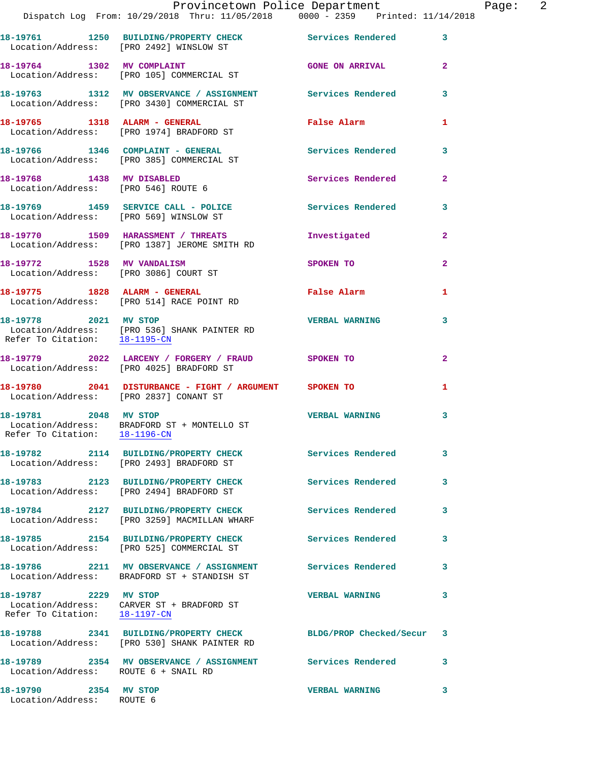|                                                        | 18-19761 1250 BUILDING/PROPERTY CHECK Services Rendered 3<br>Location/Address: [PRO 2492] WINSLOW ST            |                          |                         |
|--------------------------------------------------------|-----------------------------------------------------------------------------------------------------------------|--------------------------|-------------------------|
|                                                        | 18-19764 1302 MV COMPLAINT<br>Location/Address: [PRO 105] COMMERCIAL ST                                         | <b>GONE ON ARRIVAL</b>   | $\overline{2}$          |
|                                                        | 18-19763 1312 MV OBSERVANCE / ASSIGNMENT Services Rendered 3<br>Location/Address: [PRO 3430] COMMERCIAL ST      |                          |                         |
|                                                        | 18-19765 1318 ALARM - GENERAL<br>Location/Address: [PRO 1974] BRADFORD ST                                       | False Alarm              | $\mathbf{1}$            |
|                                                        | 18-19766 1346 COMPLAINT - GENERAL<br>Location/Address: [PRO 385] COMMERCIAL ST                                  | <b>Services Rendered</b> | $\overline{\mathbf{3}}$ |
| 18-19768 1438 MV DISABLED                              | Location/Address: [PRO 546] ROUTE 6                                                                             | <b>Services Rendered</b> | $\overline{2}$          |
|                                                        | 18-19769 1459 SERVICE CALL - POLICE 30 Services Rendered<br>Location/Address: [PRO 569] WINSLOW ST              |                          | 3                       |
|                                                        | 18-19770 1509 HARASSMENT / THREATS<br>Location/Address: [PRO 1387] JEROME SMITH RD                              | Investigated             | $\overline{2}$          |
| 18-19772 1528 MV VANDALISM                             | Location/Address: [PRO 3086] COURT ST                                                                           | SPOKEN TO                | $\overline{2}$          |
|                                                        | 18-19775 1828 ALARM - GENERAL<br>Location/Address: [PRO 514] RACE POINT RD                                      | False Alarm              | $\mathbf{1}$            |
|                                                        | 18-19778 2021 MV STOP<br>Location/Address: [PRO 536] SHANK PAINTER RD<br>Refer To Citation: 18-1195-CN          | <b>VERBAL WARNING</b>    | 3                       |
|                                                        | 18-19779 2022 LARCENY / FORGERY / FRAUD SPOKEN TO<br>Location/Address: [PRO 4025] BRADFORD ST                   |                          | $\overline{2}$          |
|                                                        | 18-19780 2041 DISTURBANCE - FIGHT / ARGUMENT SPOKEN TO<br>Location/Address: [PRO 2837] CONANT ST                |                          | 1                       |
| 18-19781 2048 MV STOP<br>Refer To Citation: 18-1196-CN | Location/Address: BRADFORD ST + MONTELLO ST                                                                     | <b>VERBAL WARNING</b>    | 3                       |
|                                                        | 18-19782 2114 BUILDING/PROPERTY CHECK<br>Location/Address: [PRO 2493] BRADFORD ST                               | Services Rendered        | 3                       |
|                                                        | 18-19783 2123 BUILDING/PROPERTY CHECK<br>Location/Address: [PRO 2494] BRADFORD ST                               | <b>Services Rendered</b> | $\mathbf{3}$            |
|                                                        | 18-19784 2127 BUILDING/PROPERTY CHECK<br>Location/Address: [PRO 3259] MACMILLAN WHARF                           | <b>Services Rendered</b> | 3                       |
|                                                        | 18-19785 2154 BUILDING/PROPERTY CHECK<br>Location/Address: [PRO 525] COMMERCIAL ST                              | Services Rendered        | 3                       |
|                                                        | 18-19786 2211 MV OBSERVANCE / ASSIGNMENT<br>Location/Address: BRADFORD ST + STANDISH ST                         | <b>Services Rendered</b> | 3                       |
| 18-19787 2229 MV STOP<br>Refer To Citation: 18-1197-CN | Location/Address: CARVER ST + BRADFORD ST                                                                       | <b>VERBAL WARNING</b>    | 3                       |
|                                                        | 18-19788 2341 BUILDING/PROPERTY CHECK BLDG/PROP Checked/Secur 3<br>Location/Address: [PRO 530] SHANK PAINTER RD |                          |                         |
| Location/Address: ROUTE 6 + SNAIL RD                   | 18-19789 2354 MV OBSERVANCE / ASSIGNMENT Services Rendered                                                      |                          | 3                       |
| 2354 MV STOP<br>18-19790<br>Location/Address: ROUTE 6  |                                                                                                                 | <b>VERBAL WARNING</b>    | 3                       |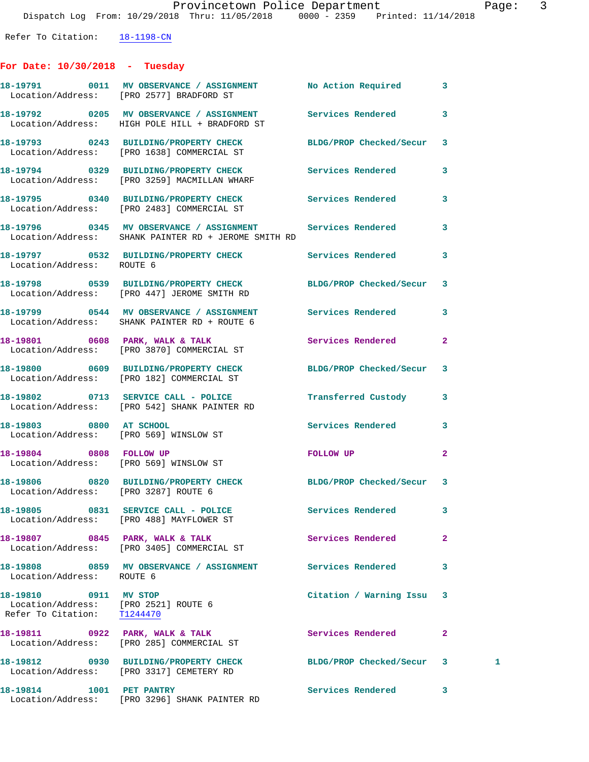Refer To Citation:  $\frac{18-1198-CN}{\ }$ 

## **For Date: 10/30/2018 - Tuesday**

|                                                                                              | 18-19791 0011 MV OBSERVANCE / ASSIGNMENT No Action Required<br>Location/Address: [PRO 2577] BRADFORD ST            |                          | 3              |   |
|----------------------------------------------------------------------------------------------|--------------------------------------------------------------------------------------------------------------------|--------------------------|----------------|---|
|                                                                                              | 18-19792 0205 MV OBSERVANCE / ASSIGNMENT Services Rendered<br>Location/Address: HIGH POLE HILL + BRADFORD ST       |                          | 3              |   |
|                                                                                              | 18-19793 0243 BUILDING/PROPERTY CHECK BLDG/PROP Checked/Secur<br>Location/Address: [PRO 1638] COMMERCIAL ST        |                          | 3              |   |
|                                                                                              | 18-19794 0329 BUILDING/PROPERTY CHECK<br>Location/Address: [PRO 3259] MACMILLAN WHARF                              | <b>Services Rendered</b> | 3              |   |
|                                                                                              | 18-19795 0340 BUILDING/PROPERTY CHECK<br>Location/Address: [PRO 2483] COMMERCIAL ST                                | Services Rendered        | 3              |   |
|                                                                                              | 18-19796 0345 MV OBSERVANCE / ASSIGNMENT Services Rendered<br>Location/Address: SHANK PAINTER RD + JEROME SMITH RD |                          | 3              |   |
| Location/Address: ROUTE 6                                                                    | 18-19797 0532 BUILDING/PROPERTY CHECK Services Rendered                                                            |                          | 3              |   |
|                                                                                              | 18-19798 0539 BUILDING/PROPERTY CHECK BLDG/PROP Checked/Secur<br>Location/Address: [PRO 447] JEROME SMITH RD       |                          | 3              |   |
|                                                                                              | 18-19799 0544 MV OBSERVANCE / ASSIGNMENT Services Rendered<br>Location/Address: SHANK PAINTER RD + ROUTE 6         |                          | 3              |   |
|                                                                                              | 18-19801 0608 PARK, WALK & TALK<br>Location/Address: [PRO 3870] COMMERCIAL ST                                      | <b>Services Rendered</b> | $\mathbf{2}$   |   |
|                                                                                              | 18-19800 0609 BUILDING/PROPERTY CHECK<br>Location/Address: [PRO 182] COMMERCIAL ST                                 | BLDG/PROP Checked/Secur  | 3              |   |
|                                                                                              | 18-19802 0713 SERVICE CALL - POLICE<br>Location/Address: [PRO 542] SHANK PAINTER RD                                | Transferred Custody      | 3              |   |
| 18-19803 0800 AT SCHOOL                                                                      | Location/Address: [PRO 569] WINSLOW ST                                                                             | Services Rendered        | 3              |   |
| 18-19804 0808 FOLLOW UP                                                                      | Location/Address: [PRO 569] WINSLOW ST                                                                             | FOLLOW UP                | $\mathbf{2}$   |   |
| Location/Address: [PRO 3287] ROUTE 6                                                         | 18-19806 0820 BUILDING/PROPERTY CHECK BLDG/PROP Checked/Secur 3                                                    |                          |                |   |
|                                                                                              | 18-19805 0831 SERVICE CALL - POLICE 3ervices Rendered<br>Location/Address: [PRO 488] MAYFLOWER ST                  |                          |                |   |
|                                                                                              | 18-19807 0845 PARK, WALK & TALK<br>Location/Address: [PRO 3405] COMMERCIAL ST                                      | Services Rendered        | $\overline{a}$ |   |
| Location/Address: ROUTE 6                                                                    | 18-19808 0859 MV OBSERVANCE / ASSIGNMENT Services Rendered                                                         |                          | 3              |   |
| 18-19810 0911 MV STOP<br>Location/Address: [PRO 2521] ROUTE 6<br>Refer To Citation: T1244470 |                                                                                                                    | Citation / Warning Issu  | 3              |   |
|                                                                                              | 18-19811 0922 PARK, WALK & TALK<br>Location/Address: [PRO 285] COMMERCIAL ST                                       | Services Rendered        | 2              |   |
|                                                                                              | 18-19812 0930 BUILDING/PROPERTY CHECK<br>Location/Address: [PRO 3317] CEMETERY RD                                  | BLDG/PROP Checked/Secur  | 3              | 1 |
| 18-19814 1001 PET PANTRY                                                                     | Location/Address: [PRO 3296] SHANK PAINTER RD                                                                      | Services Rendered        | 3              |   |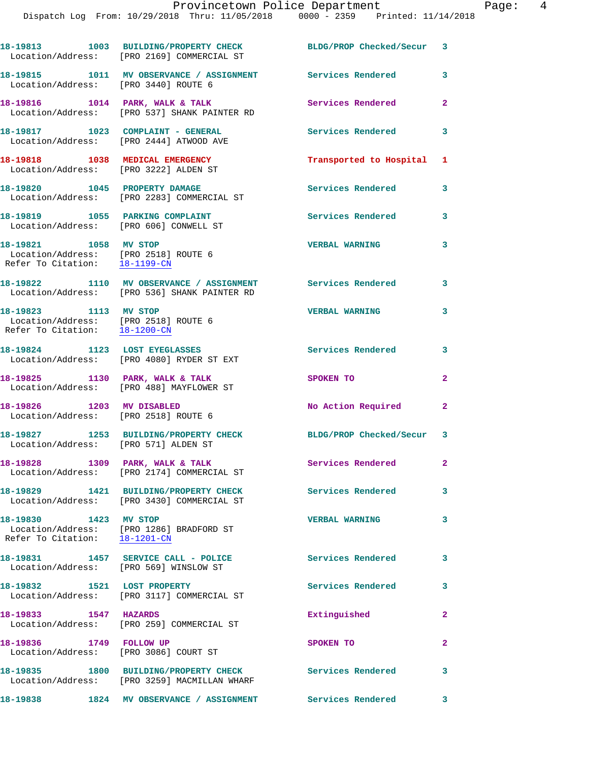|                                                                                                | 18-19813 1003 BUILDING/PROPERTY CHECK<br>Location/Address: [PRO 2169] COMMERCIAL ST      | BLDG/PROP Checked/Secur 3 |                            |
|------------------------------------------------------------------------------------------------|------------------------------------------------------------------------------------------|---------------------------|----------------------------|
| Location/Address: [PRO 3440] ROUTE 6                                                           | 18-19815 1011 MV OBSERVANCE / ASSIGNMENT Services Rendered                               |                           | 3                          |
|                                                                                                | 18-19816 1014 PARK, WALK & TALK<br>Location/Address: [PRO 537] SHANK PAINTER RD          | Services Rendered         | $\overline{2}$             |
|                                                                                                | 18-19817 1023 COMPLAINT - GENERAL<br>Location/Address: [PRO 2444] ATWOOD AVE             | <b>Services Rendered</b>  | 3                          |
| 18-19818 1038 MEDICAL EMERGENCY                                                                | Location/Address: [PRO 3222] ALDEN ST                                                    | Transported to Hospital 1 |                            |
|                                                                                                | 18-19820 1045 PROPERTY DAMAGE<br>Location/Address: [PRO 2283] COMMERCIAL ST              | <b>Services Rendered</b>  | 3                          |
| 18-19819 1055 PARKING COMPLAINT<br>Location/Address: [PRO 606] CONWELL ST                      |                                                                                          | Services Rendered         | 3                          |
| 18-19821 1058 MV STOP<br>Location/Address: [PRO 2518] ROUTE 6<br>Refer To Citation: 18-1199-CN |                                                                                          | <b>VERBAL WARNING</b>     | 3                          |
|                                                                                                | 18-19822 1110 MV OBSERVANCE / ASSIGNMENT<br>Location/Address: [PRO 536] SHANK PAINTER RD | <b>Services Rendered</b>  | $\overline{\phantom{a}}$ 3 |
| 18-19823 1113 MV STOP<br>Location/Address: [PRO 2518] ROUTE 6<br>Refer To Citation: 18-1200-CN |                                                                                          | <b>VERBAL WARNING</b>     | 3                          |
|                                                                                                | 18-19824 1123 LOST EYEGLASSES<br>Location/Address: [PRO 4080] RYDER ST EXT               | <b>Services Rendered</b>  | $\overline{\mathbf{3}}$    |
|                                                                                                | 18-19825 1130 PARK, WALK & TALK<br>Location/Address: [PRO 488] MAYFLOWER ST              | SPOKEN TO                 | $\overline{2}$             |
| 18-19826 1203 MV DISABLED<br>Location/Address: [PRO 2518] ROUTE 6                              |                                                                                          | No Action Required        | $\mathbf{2}$               |
| Location/Address: [PRO 571] ALDEN ST                                                           | 18-19827 1253 BUILDING/PROPERTY CHECK                                                    | BLDG/PROP Checked/Secur 3 |                            |
| 18-19828                                                                                       | 1309 PARK, WALK & TALK<br>Location/Address: [PRO 2174] COMMERCIAL ST                     | Services Rendered         | $\mathbf{2}^-$             |
|                                                                                                | 18-19829 1421 BUILDING/PROPERTY CHECK<br>Location/Address: [PRO 3430] COMMERCIAL ST      | <b>Services Rendered</b>  | 3                          |
| 18-19830 1423 MV STOP<br>Refer To Citation: 18-1201-CN                                         | Location/Address: [PRO 1286] BRADFORD ST                                                 | <b>VERBAL WARNING</b>     | 3                          |
| Location/Address: [PRO 569] WINSLOW ST                                                         | 18-19831 1457 SERVICE CALL - POLICE                                                      | <b>Services Rendered</b>  | 3                          |
| 18-19832 1521 LOST PROPERTY                                                                    | Location/Address: [PRO 3117] COMMERCIAL ST                                               | Services Rendered         | 3                          |
| 18-19833 1547 HAZARDS                                                                          | Location/Address: [PRO 259] COMMERCIAL ST                                                | Extinguished              | $\overline{2}$             |
| 18-19836 1749 FOLLOW UP<br>Location/Address: [PRO 3086] COURT ST                               |                                                                                          | SPOKEN TO                 | $\mathbf{2}$               |
|                                                                                                | 18-19835 1800 BUILDING/PROPERTY CHECK<br>Location/Address: [PRO 3259] MACMILLAN WHARF    | <b>Services Rendered</b>  | 3                          |

**18-19838 1824 MV OBSERVANCE / ASSIGNMENT Services Rendered 3**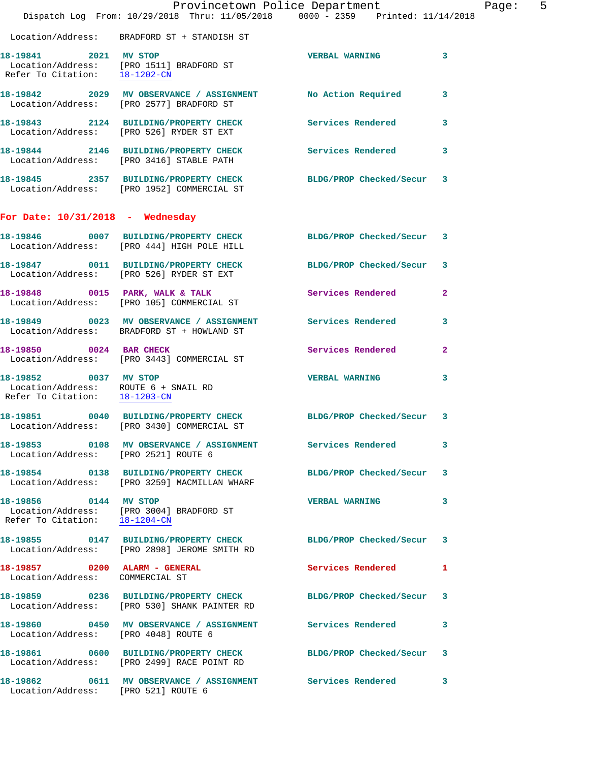|                                                                  | Dispatch Log From: 10/29/2018 Thru: 11/05/2018 0000 - 2359 Printed: 11/14/2018                                  | Provincetown Police Department | Page: 5      |
|------------------------------------------------------------------|-----------------------------------------------------------------------------------------------------------------|--------------------------------|--------------|
|                                                                  | Location/Address: BRADFORD ST + STANDISH ST                                                                     |                                |              |
| 18-19841 2021 MV STOP                                            | Location/Address: [PRO 1511] BRADFORD ST<br>Refer To Citation: $\frac{18-1202-CN}{\ }$                          | VERBAL WARNING 3               |              |
|                                                                  | 18-19842  2029 MV OBSERVANCE / ASSIGNMENT  No Action Required<br>Location/Address: [PRO 2577] BRADFORD ST       |                                | 3            |
|                                                                  | 18-19843 2124 BUILDING/PROPERTY CHECK Services Rendered<br>Location/Address: [PRO 526] RYDER ST EXT             |                                | $\mathbf{3}$ |
|                                                                  | 18-19844 2146 BUILDING/PROPERTY CHECK<br>Location/Address: [PRO 3416] STABLE PATH                               | Services Rendered              | 3            |
|                                                                  | 18-19845 2357 BUILDING/PROPERTY CHECK BLDG/PROP Checked/Secur 3<br>Location/Address: [PRO 1952] COMMERCIAL ST   |                                |              |
| For Date: $10/31/2018$ - Wednesday                               |                                                                                                                 |                                |              |
|                                                                  | 18-19846  0007 BUILDING/PROPERTY CHECK BLDG/PROP Checked/Secur 3<br>Location/Address: [PRO 444] HIGH POLE HILL  |                                |              |
|                                                                  | 18-19847 0011 BUILDING/PROPERTY CHECK<br>Location/Address: [PRO 526] RYDER ST EXT                               | BLDG/PROP Checked/Secur 3      |              |
|                                                                  | 18-19848 0015 PARK, WALK & TALK<br>Location/Address: [PRO 105] COMMERCIAL ST                                    | Services Rendered              | $\mathbf{2}$ |
|                                                                  | 18-19849 0023 MV OBSERVANCE / ASSIGNMENT Services Rendered 3<br>Location/Address: BRADFORD ST + HOWLAND ST      |                                |              |
|                                                                  | 18-19850 0024 BAR CHECK<br>Location/Address: [PRO 3443] COMMERCIAL ST                                           | Services Rendered              | $\mathbf{2}$ |
| 18-19852 0037 MV STOP                                            | Location/Address: ROUTE 6 + SNAIL RD<br>Refer To Citation: 18-1203-CN                                           | <b>VERBAL WARNING</b>          | 3            |
|                                                                  | 18-19851 0040 BUILDING/PROPERTY CHECK BLDG/PROP Checked/Secur 3<br>Location/Address: [PRO 3430] COMMERCIAL ST   |                                |              |
| Location/Address: [PRO 2521] ROUTE 6                             |                                                                                                                 |                                | 3            |
|                                                                  | 18-19854 0138 BUILDING/PROPERTY CHECK BLDG/PROP Checked/Secur 3<br>Location/Address: [PRO 3259] MACMILLAN WHARF |                                |              |
| 18-19856 0144 MV STOP<br>Refer To Citation: 18-1204-CN           | Location/Address: [PRO 3004] BRADFORD ST                                                                        | <b>VERBAL WARNING</b>          | 3            |
|                                                                  | 18-19855 0147 BUILDING/PROPERTY CHECK BLDG/PROP Checked/Secur 3<br>Location/Address: [PRO 2898] JEROME SMITH RD |                                |              |
| 18-19857 0200 ALARM - GENERAL<br>Location/Address: COMMERCIAL ST |                                                                                                                 | Services Rendered              | 1            |
|                                                                  | 18-19859 0236 BUILDING/PROPERTY CHECK<br>Location/Address: [PRO 530] SHANK PAINTER RD                           | BLDG/PROP Checked/Secur 3      |              |
| Location/Address: [PRO 4048] ROUTE 6                             | 18-19860 0450 MV OBSERVANCE / ASSIGNMENT Services Rendered                                                      |                                | 3            |
|                                                                  | 18-19861 0600 BUILDING/PROPERTY CHECK BLDG/PROP Checked/Secur 3<br>Location/Address: [PRO 2499] RACE POINT RD   |                                |              |
| Location/Address: [PRO 521] ROUTE 6                              | 18-19862 0611 MV OBSERVANCE / ASSIGNMENT Services Rendered                                                      |                                | 3            |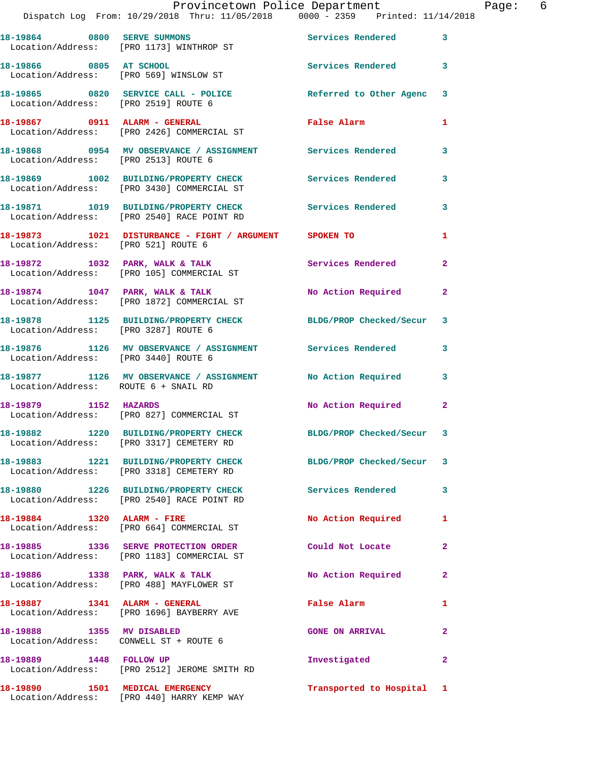|                                        | Provincetown Police Department The Page: 6<br>Dispatch Log From: 10/29/2018 Thru: 11/05/2018 0000 - 2359 Printed: 11/14/2018 |                                             |                |  |
|----------------------------------------|------------------------------------------------------------------------------------------------------------------------------|---------------------------------------------|----------------|--|
|                                        | 18-19864 0800 SERVE SUMMONS<br>Location/Address: [PRO 1173] WINTHROP ST                                                      | Services Rendered                           | $\mathbf{3}$   |  |
|                                        | 18-19866 0805 AT SCHOOL<br>Location/Address: [PRO 569] WINSLOW ST                                                            | Services Rendered 3                         |                |  |
|                                        | 18-19865 0820 SERVICE CALL - POLICE Referred to Other Agenc 3<br>Location/Address: [PRO 2519] ROUTE 6                        |                                             |                |  |
|                                        | Location/Address: [PRO 2426] COMMERCIAL ST                                                                                   |                                             | 1              |  |
|                                        | 18-19868 0954 MV OBSERVANCE / ASSIGNMENT Services Rendered 3<br>Location/Address: [PRO 2513] ROUTE 6                         |                                             |                |  |
|                                        | 18-19869 1002 BUILDING/PROPERTY CHECK Services Rendered<br>Location/Address: [PRO 3430] COMMERCIAL ST                        |                                             | 3              |  |
|                                        | 18-19871 1019 BUILDING/PROPERTY CHECK Services Rendered 3<br>Location/Address: [PRO 2540] RACE POINT RD                      |                                             |                |  |
| Location/Address: [PRO 521] ROUTE 6    | 18-19873 1021 DISTURBANCE - FIGHT / ARGUMENT SPOKEN TO                                                                       |                                             | 1              |  |
|                                        | 18-19872 1032 PARK, WALK & TALK Services Rendered Election/Address: [PRO 105] COMMERCIAL ST                                  |                                             | $\overline{2}$ |  |
|                                        | 18-19874 1047 PARK, WALK & TALK 1999 No Action Required<br>Location/Address: [PRO 1872] COMMERCIAL ST                        |                                             | $\mathbf{2}$   |  |
|                                        | 18-19878 1125 BUILDING/PROPERTY CHECK BLDG/PROP Checked/Secur 3<br>Location/Address: [PRO 3287] ROUTE 6                      |                                             |                |  |
| Location/Address: [PRO 3440] ROUTE 6   | 18-19876 1126 MV OBSERVANCE / ASSIGNMENT Services Rendered                                                                   |                                             | 3              |  |
| Location/Address: ROUTE 6 + SNAIL RD   | 18-19877 1126 MV OBSERVANCE / ASSIGNMENT No Action Required 3                                                                |                                             |                |  |
|                                        | 18-19879 1152 HAZARDS<br>Location/Address: [PRO 827] COMMERCIAL ST                                                           | No Action Required 2                        |                |  |
|                                        | 18-19882 1220 BUILDING/PROPERTY CHECK<br>Location/Address: [PRO 3317] CEMETERY RD                                            | BLDG/PROP Checked/Secur 3                   |                |  |
|                                        | 18-19883 1221 BUILDING/PROPERTY CHECK BLDG/PROP Checked/Secur 3<br>Location/Address: [PRO 3318] CEMETERY RD                  |                                             |                |  |
|                                        | 18-19880 1226 BUILDING/PROPERTY CHECK Services Rendered<br>Location/Address: [PRO 2540] RACE POINT RD                        |                                             | 3              |  |
|                                        | 18-19884 1320 ALARM - FIRE<br>Location/Address: [PRO 664] COMMERCIAL ST                                                      | No Action Required                          | 1              |  |
|                                        | 18-19885 1336 SERVE PROTECTION ORDER Could Not Locate<br>Location/Address: [PRO 1183] COMMERCIAL ST                          |                                             | $\overline{2}$ |  |
|                                        | 18-19886 1338 PARK, WALK & TALK<br>Location/Address: [PRO 488] MAYFLOWER ST                                                  | No Action Required                          | $\mathbf{2}$   |  |
|                                        | 18-19887 1341 ALARM - GENERAL<br>Location/Address: [PRO 1696] BAYBERRY AVE                                                   | False Alarm <b>Exercise Service Service</b> | $\mathbf{1}$   |  |
| Location/Address: CONWELL ST + ROUTE 6 | 18-19888 1355 MV DISABLED                                                                                                    | <b>GONE ON ARRIVAL</b>                      | 2              |  |
| 18-19889 1448 FOLLOW UP                | Location/Address: [PRO 2512] JEROME SMITH RD                                                                                 | Investigated                                | $\mathbf{2}$   |  |
|                                        | 18-19890 1501 MEDICAL EMERGENCY                                                                                              | Transported to Hospital 1                   |                |  |

Location/Address: [PRO 440] HARRY KEMP WAY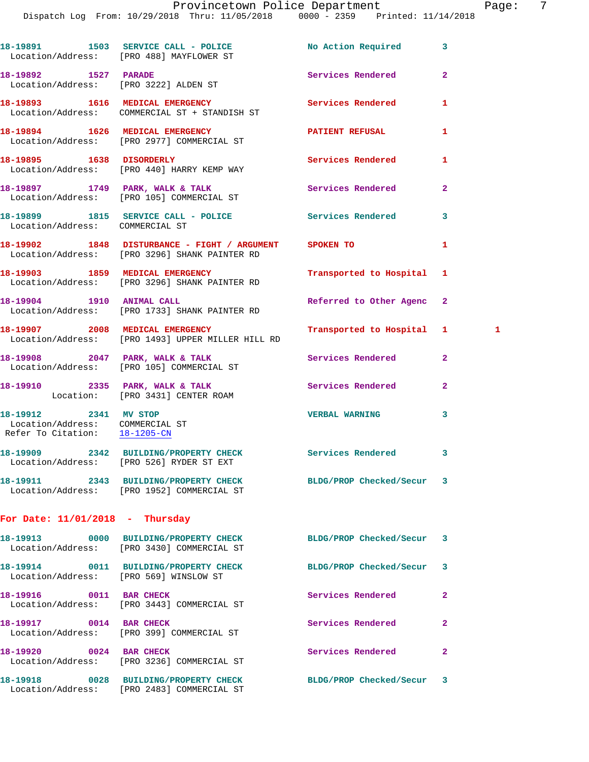Dispatch Log From: 10/29/2018 Thru: 11/05/2018 0000 - 2359 Printed: 11/14/2018

18-19891 1503 SERVICE CALL - POLICE No Action Required 3 Location/Address: [PRO 488] MAYFLOWER ST **18-19892 1527 PARADE Services Rendered 2**  Location/Address: [PRO 3222] ALDEN ST **18-19893 1616 MEDICAL EMERGENCY Services Rendered 1**  Location/Address: COMMERCIAL ST + STANDISH ST **18-19894 1626 MEDICAL EMERGENCY PATIENT REFUSAL 1**  Location/Address: [PRO 2977] COMMERCIAL ST **18-19895 1638 DISORDERLY Services Rendered 1**  Location/Address: [PRO 440] HARRY KEMP WAY **18-19897 1749 PARK, WALK & TALK Services Rendered 2**  Location/Address: [PRO 105] COMMERCIAL ST **18-19899 1815 SERVICE CALL - POLICE Services Rendered 3**  Location/Address: COMMERCIAL ST **18-19902 1848 DISTURBANCE - FIGHT / ARGUMENT SPOKEN TO 1**  Location/Address: [PRO 3296] SHANK PAINTER RD **18-19903 1859 MEDICAL EMERGENCY Transported to Hospital 1**  Location/Address: [PRO 3296] SHANK PAINTER RD 18-19904 1910 ANIMAL CALL **Referred to Other Agenc**  Location/Address: [PRO 1733] SHANK PAINTER RD **18-19907 2008 MEDICAL EMERGENCY Transported to Hospital 1 1**  Location/Address: [PRO 1493] UPPER MILLER HILL RD **18-19908 2047 PARK, WALK & TALK Services Rendered 2**  Location/Address: [PRO 105] COMMERCIAL ST 18-19910 2335 PARK, WALK & TALK 2 Services Rendered 2 Location: [PRO 3431] CENTER ROAM **18-19912 2341 MV STOP VERBAL WARNING 3**  Location/Address: COMMERCIAL ST Refer To Citation: 18-1205-CN **18-19909 2342 BUILDING/PROPERTY CHECK Services Rendered 3**  Location/Address: [PRO 526] RYDER ST EXT **18-19911 2343 BUILDING/PROPERTY CHECK BLDG/PROP Checked/Secur 3**  Location/Address: [PRO 1952] COMMERCIAL ST **For Date: 11/01/2018 - Thursday 18-19913 0000 BUILDING/PROPERTY CHECK BLDG/PROP Checked/Secur 3**  Location/Address: [PRO 3430] COMMERCIAL ST **18-19914 0011 BUILDING/PROPERTY CHECK BLDG/PROP Checked/Secur 3**  Location/Address: [PRO 569] WINSLOW ST **18-19916** 0011 BAR CHECK Services Rendered 2 Location/Address: [PRO 3443] COMMERCIAL ST **18-19917** 0014 BAR CHECK **18-1991 18-19917** 0014 BAR CHECK Location/Address: [PRO 399] COMMERCIAL ST **18-19920 0024 BAR CHECK Services Rendered 2**  Location/Address: [PRO 3236] COMMERCIAL ST **18-19918 0028 BUILDING/PROPERTY CHECK BLDG/PROP Checked/Secur 3**  Location/Address: [PRO 2483] COMMERCIAL ST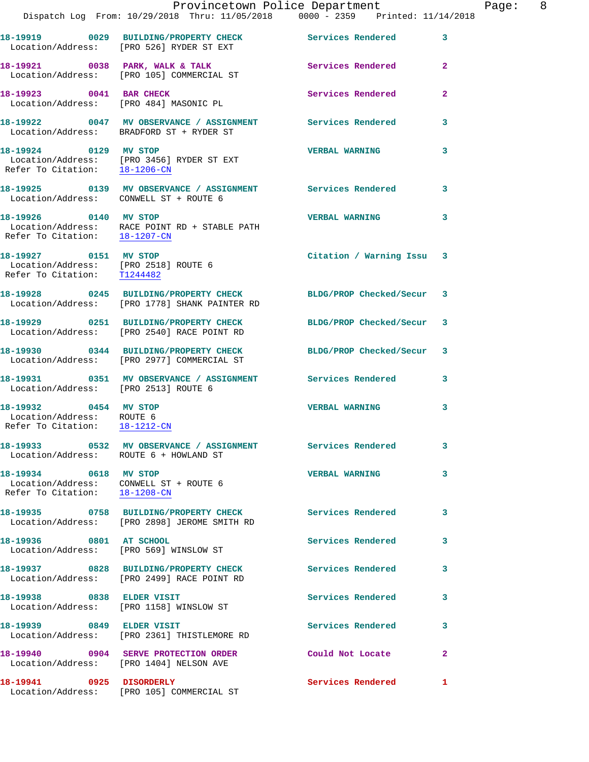|                                                                                              | Provincetown Police Department<br>Dispatch Log From: 10/29/2018 Thru: 11/05/2018 0000 - 2359 Printed: 11/14/2018 |                           |                |
|----------------------------------------------------------------------------------------------|------------------------------------------------------------------------------------------------------------------|---------------------------|----------------|
|                                                                                              | 18-19919 0029 BUILDING/PROPERTY CHECK Services Rendered<br>Location/Address: [PRO 526] RYDER ST EXT              |                           | 3              |
|                                                                                              | 18-19921 0038 PARK, WALK & TALK<br>Location/Address: [PRO 105] COMMERCIAL ST                                     | <b>Services Rendered</b>  | $\overline{2}$ |
| 18-19923 0041 BAR CHECK                                                                      | Location/Address: [PRO 484] MASONIC PL                                                                           | Services Rendered         | $\overline{2}$ |
|                                                                                              | 18-19922 0047 MV OBSERVANCE / ASSIGNMENT Services Rendered<br>Location/Address: BRADFORD ST + RYDER ST           |                           | 3              |
| 18-19924 0129 MV STOP                                                                        | Location/Address: [PRO 3456] RYDER ST EXT<br>Refer To Citation: 18-1206-CN                                       | <b>VERBAL WARNING</b>     | 3              |
| Location/Address: CONWELL ST + ROUTE 6                                                       | 18-19925 0139 MV OBSERVANCE / ASSIGNMENT Services Rendered                                                       |                           | 3              |
| 18-19926 0140 MV STOP<br>Refer To Citation: 18-1207-CN                                       | Location/Address: RACE POINT RD + STABLE PATH                                                                    | <b>VERBAL WARNING</b>     | 3              |
| 18-19927 0151 MV STOP<br>Location/Address: [PRO 2518] ROUTE 6<br>Refer To Citation: T1244482 |                                                                                                                  | Citation / Warning Issu 3 |                |
| 18-19928                                                                                     | 0245 BUILDING/PROPERTY CHECK BLDG/PROP Checked/Secur<br>Location/Address: [PRO 1778] SHANK PAINTER RD            |                           | 3              |
|                                                                                              | 18-19929 0251 BUILDING/PROPERTY CHECK<br>Location/Address: [PRO 2540] RACE POINT RD                              | BLDG/PROP Checked/Secur   | 3              |
|                                                                                              | 18-19930 0344 BUILDING/PROPERTY CHECK<br>Location/Address: [PRO 2977] COMMERCIAL ST                              | BLDG/PROP Checked/Secur   | 3              |
| Location/Address: [PRO 2513] ROUTE 6                                                         | 18-19931 0351 MV OBSERVANCE / ASSIGNMENT Services Rendered                                                       |                           | 3              |
| 18-19932 0454 MV STOP<br>Location/Address: ROUTE 6<br>Refer To Citation: 18-1212-CN          |                                                                                                                  | <b>VERBAL WARNING</b>     | 3              |
| Location/Address: ROUTE 6 + HOWLAND ST                                                       | 18-19933 6532 MV OBSERVANCE / ASSIGNMENT Services Rendered                                                       |                           | 3              |
| 18-19934 0618 MV STOP                                                                        | Location/Address: CONWELL ST + ROUTE 6<br>Refer To Citation: $\frac{18-1208-CN}{\ }$                             | <b>VERBAL WARNING</b>     | 3              |
|                                                                                              | 18-19935 0758 BUILDING/PROPERTY CHECK<br>Location/Address: [PRO 2898] JEROME SMITH RD                            | Services Rendered         | 3              |
| 18-19936 0801 AT SCHOOL                                                                      | Location/Address: [PRO 569] WINSLOW ST                                                                           | Services Rendered         | 3              |
|                                                                                              | 18-19937 0828 BUILDING/PROPERTY CHECK<br>Location/Address: [PRO 2499] RACE POINT RD                              | Services Rendered         | 3              |
| 18-19938 0838 ELDER VISIT                                                                    | Location/Address: [PRO 1158] WINSLOW ST                                                                          | <b>Services Rendered</b>  | 3              |
| 18-19939 0849 ELDER VISIT                                                                    | Location/Address: [PRO 2361] THISTLEMORE RD                                                                      | Services Rendered         | 3              |
|                                                                                              | 18-19940 0904 SERVE PROTECTION ORDER<br>Location/Address: [PRO 1404] NELSON AVE                                  | Could Not Locate          | $\mathbf{2}$   |
| 18-19941 0925 DISORDERLY                                                                     | Location/Address: [PRO 105] COMMERCIAL ST                                                                        | Services Rendered         | 1              |

Page: 8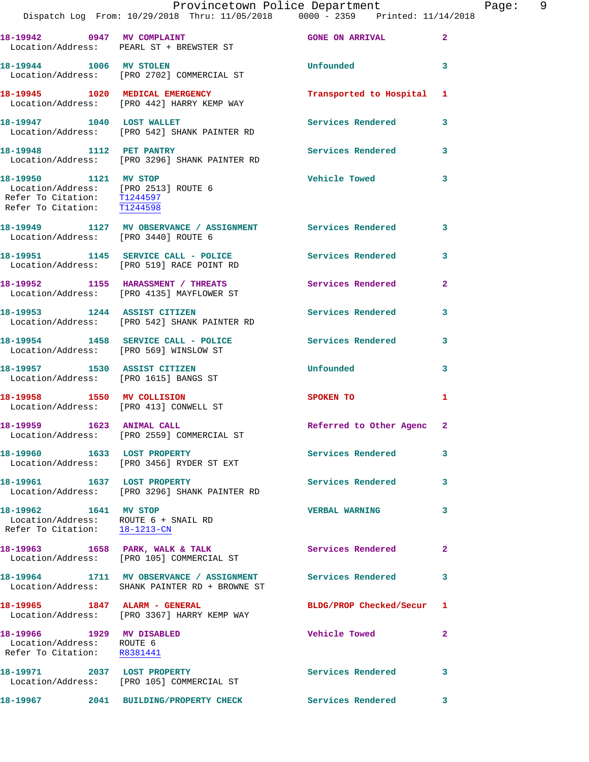|                                                                                                                             | Provincetown Police Department<br>Dispatch Log From: 10/29/2018 Thru: 11/05/2018 0000 - 2359 Printed: 11/14/2018 |                          |                |
|-----------------------------------------------------------------------------------------------------------------------------|------------------------------------------------------------------------------------------------------------------|--------------------------|----------------|
|                                                                                                                             |                                                                                                                  |                          |                |
|                                                                                                                             | 18-19942 0947 MV COMPLAINT<br>Location/Address: PEARL ST + BREWSTER ST                                           | <b>GONE ON ARRIVAL</b>   | $\mathbf{2}$   |
| 18-19944 1006 MV STOLEN                                                                                                     | Location/Address: [PRO 2702] COMMERCIAL ST                                                                       | Unfounded                | 3              |
|                                                                                                                             | 18-19945 1020 MEDICAL EMERGENCY<br>Location/Address: [PRO 442] HARRY KEMP WAY                                    | Transported to Hospital  | 1              |
| 18-19947 1040 LOST WALLET                                                                                                   | Location/Address: [PRO 542] SHANK PAINTER RD                                                                     | Services Rendered        | 3              |
| 18-19948 1112 PET PANTRY                                                                                                    | Location/Address: [PRO 3296] SHANK PAINTER RD                                                                    | <b>Services Rendered</b> | 3              |
| 18-19950 1121 MV STOP<br>Location/Address: [PRO 2513] ROUTE 6<br>Refer To Citation: T1244597<br>Refer To Citation: T1244598 |                                                                                                                  | <b>Vehicle Towed</b>     | 3              |
| Location/Address: [PRO 3440] ROUTE 6                                                                                        | 18-19949 1127 MV OBSERVANCE / ASSIGNMENT Services Rendered                                                       |                          | 3              |
|                                                                                                                             | 18-19951 1145 SERVICE CALL - POLICE<br>Location/Address: [PRO 519] RACE POINT RD                                 | Services Rendered        | 3              |
|                                                                                                                             | 18-19952 1155 HARASSMENT / THREATS<br>Location/Address: [PRO 4135] MAYFLOWER ST                                  | Services Rendered        | $\overline{a}$ |
|                                                                                                                             | 18-19953 1244 ASSIST CITIZEN<br>Location/Address: [PRO 542] SHANK PAINTER RD                                     | <b>Services Rendered</b> | 3              |
| Location/Address: [PRO 569] WINSLOW ST                                                                                      | 18-19954 1458 SERVICE CALL - POLICE                                                                              | <b>Services Rendered</b> | 3              |
| 18-19957 1530 ASSIST CITIZEN<br>Location/Address: [PRO 1615] BANGS ST                                                       |                                                                                                                  | Unfounded                | 3              |
| 18-19958 1550 MV COLLISION<br>Location/Address: [PRO 413] CONWELL ST                                                        |                                                                                                                  | <b>SPOKEN TO</b>         | 1              |
| 18-19959 1623 ANIMAL CALL                                                                                                   | Location/Address: [PRO 2559] COMMERCIAL ST                                                                       | Referred to Other Agenc  | $\overline{2}$ |
| 18-19960 1633 LOST PROPERTY                                                                                                 | Location/Address: [PRO 3456] RYDER ST EXT                                                                        | Services Rendered        | 3              |
| 18-19961 1637 LOST PROPERTY                                                                                                 | Location/Address: [PRO 3296] SHANK PAINTER RD                                                                    | <b>Services Rendered</b> | 3              |
| 18-19962 1641 MV STOP<br>Location/Address: ROUTE 6 + SNAIL RD<br>Refer To Citation: 18-1213-CN                              |                                                                                                                  | <b>VERBAL WARNING</b>    | 3              |
|                                                                                                                             | 18-19963 1658 PARK, WALK & TALK<br>Location/Address: [PRO 105] COMMERCIAL ST                                     | <b>Services Rendered</b> | $\mathbf{2}$   |
|                                                                                                                             | 18-19964 1711 MV OBSERVANCE / ASSIGNMENT Services Rendered<br>Location/Address: SHANK PAINTER RD + BROWNE ST     |                          | 3              |
| 18-19965 1847 ALARM - GENERAL                                                                                               | Location/Address: [PRO 3367] HARRY KEMP WAY                                                                      | BLDG/PROP Checked/Secur  | 1              |
| 18-19966 1929 MV DISABLED<br>Location/Address: ROUTE 6<br>Refer To Citation: R8381441                                       |                                                                                                                  | Vehicle Towed            | 2              |
|                                                                                                                             | 18-19971 2037 LOST PROPERTY<br>Location/Address: [PRO 105] COMMERCIAL ST                                         | Services Rendered        | 3              |
|                                                                                                                             |                                                                                                                  | <b>Services Rendered</b> | 3              |

Page: 9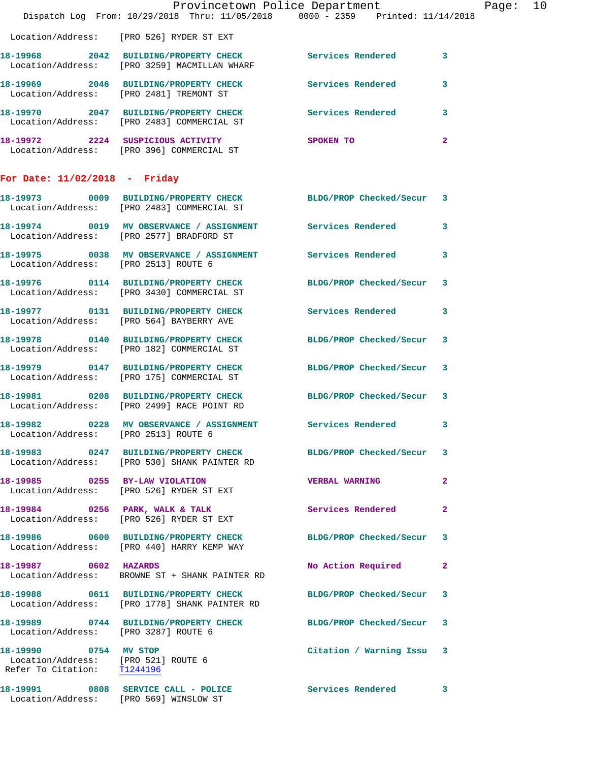|                                                                                             | Provincetown Police Department<br>Dispatch Log From: 10/29/2018 Thru: 11/05/2018 0000 - 2359 Printed: 11/14/2018 |                           |                         | Page: 10 |  |
|---------------------------------------------------------------------------------------------|------------------------------------------------------------------------------------------------------------------|---------------------------|-------------------------|----------|--|
|                                                                                             | Location/Address: [PRO 526] RYDER ST EXT                                                                         |                           |                         |          |  |
|                                                                                             | 18-19968 2042 BUILDING/PROPERTY CHECK Services Rendered 3<br>Location/Address: [PRO 3259] MACMILLAN WHARF        |                           |                         |          |  |
|                                                                                             | 18-19969 2046 BUILDING/PROPERTY CHECK Services Rendered 3<br>Location/Address: [PRO 2481] TREMONT ST             |                           |                         |          |  |
|                                                                                             | 18-19970 2047 BUILDING/PROPERTY CHECK Services Rendered 3<br>Location/Address: [PRO 2483] COMMERCIAL ST          |                           |                         |          |  |
|                                                                                             | 18-19972 2224 SUSPICIOUS ACTIVITY SPOKEN TO<br>Location/Address: [PRO 396] COMMERCIAL ST                         |                           | $\mathbf{2}$            |          |  |
| For Date: $11/02/2018$ - Friday                                                             |                                                                                                                  |                           |                         |          |  |
|                                                                                             | 18-19973 0009 BUILDING/PROPERTY CHECK BLDG/PROP Checked/Secur 3<br>Location/Address: [PRO 2483] COMMERCIAL ST    |                           |                         |          |  |
|                                                                                             | 18-19974 0019 MV OBSERVANCE / ASSIGNMENT Services Rendered 3<br>Location/Address: [PRO 2577] BRADFORD ST         |                           |                         |          |  |
| Location/Address: [PRO 2513] ROUTE 6                                                        | 18-19975 0038 MV OBSERVANCE / ASSIGNMENT Services Rendered 3                                                     |                           |                         |          |  |
|                                                                                             | 18-19976 0114 BUILDING/PROPERTY CHECK BLDG/PROP Checked/Secur 3<br>Location/Address: [PRO 3430] COMMERCIAL ST    |                           |                         |          |  |
|                                                                                             | 18-19977 0131 BUILDING/PROPERTY CHECK Services Rendered 3<br>Location/Address: [PRO 564] BAYBERRY AVE            |                           |                         |          |  |
|                                                                                             | 18-19978 0140 BUILDING/PROPERTY CHECK BLDG/PROP Checked/Secur 3<br>Location/Address: [PRO 182] COMMERCIAL ST     |                           |                         |          |  |
|                                                                                             | 18-19979 0147 BUILDING/PROPERTY CHECK BLDG/PROP Checked/Secur 3<br>Location/Address: [PRO 175] COMMERCIAL ST     |                           |                         |          |  |
|                                                                                             | 18-19981 0208 BUILDING/PROPERTY CHECK BLDG/PROP Checked/Secur 3<br>Location/Address: [PRO 2499] RACE POINT RD    |                           |                         |          |  |
| Location/Address: [PRO 2513] ROUTE 6                                                        | 18-19982 0228 MV OBSERVANCE / ASSIGNMENT Services Rendered                                                       |                           | $\overline{\mathbf{3}}$ |          |  |
|                                                                                             | 18-19983 0247 BUILDING/PROPERTY CHECK BLDG/PROP Checked/Secur 3<br>Location/Address: [PRO 530] SHANK PAINTER RD  |                           |                         |          |  |
|                                                                                             | 18-19985 0255 BY-LAW VIOLATION<br>Location/Address: [PRO 526] RYDER ST EXT                                       | <b>VERBAL WARNING</b>     | $\mathbf{2}$            |          |  |
|                                                                                             | 18-19984 0256 PARK, WALK & TALK<br>Location/Address: [PRO 526] RYDER ST EXT                                      | Services Rendered         | $\mathbf{2}$            |          |  |
|                                                                                             | 18-19986 0600 BUILDING/PROPERTY CHECK BLDG/PROP Checked/Secur 3<br>Location/Address: [PRO 440] HARRY KEMP WAY    |                           |                         |          |  |
| 18-19987 0602 HAZARDS                                                                       | Location/Address: BROWNE ST + SHANK PAINTER RD                                                                   | No Action Required 2      |                         |          |  |
|                                                                                             | 18-19988 0611 BUILDING/PROPERTY CHECK<br>Location/Address: [PRO 1778] SHANK PAINTER RD                           | BLDG/PROP Checked/Secur 3 |                         |          |  |
| Location/Address: [PRO 3287] ROUTE 6                                                        | 18-19989 0744 BUILDING/PROPERTY CHECK BLDG/PROP Checked/Secur 3                                                  |                           |                         |          |  |
| 18-19990 0754 MV STOP<br>Location/Address: [PRO 521] ROUTE 6<br>Refer To Citation: T1244196 |                                                                                                                  | Citation / Warning Issu 3 |                         |          |  |
|                                                                                             | 18-19991 0808 SERVICE CALL - POLICE<br>Location/Address: [PRO 569] WINSLOW ST                                    | Services Rendered 3       |                         |          |  |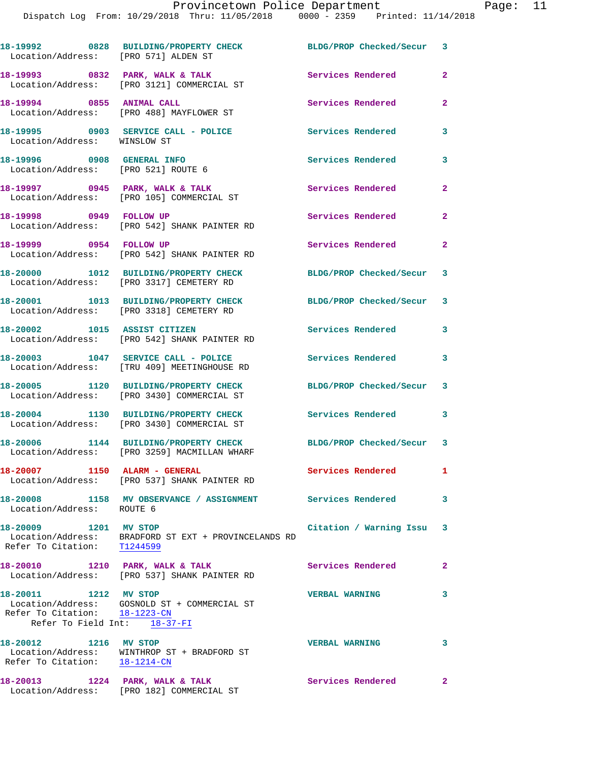Dispatch Log From: 10/29/2018 Thru: 11/05/2018 0000 - 2359 Printed: 11/14/2018

| Location/Address: [PRO 571] ALDEN ST                                                   | 18-19992 0828 BUILDING/PROPERTY CHECK BLDG/PROP Checked/Secur 3                       |                           |                         |
|----------------------------------------------------------------------------------------|---------------------------------------------------------------------------------------|---------------------------|-------------------------|
|                                                                                        | 18-19993 0832 PARK, WALK & TALK<br>Location/Address: [PRO 3121] COMMERCIAL ST         | Services Rendered         | 2                       |
|                                                                                        | 18-19994 0855 ANIMAL CALL<br>Location/Address: [PRO 488] MAYFLOWER ST                 | Services Rendered         | $\mathbf{2}$            |
| Location/Address: WINSLOW ST                                                           | 18-19995 0903 SERVICE CALL - POLICE                                                   | <b>Services Rendered</b>  | 3                       |
| 18-19996 0908 GENERAL INFO<br>Location/Address: [PRO 521] ROUTE 6                      |                                                                                       | Services Rendered         | 3                       |
|                                                                                        | 18-19997 0945 PARK, WALK & TALK<br>Location/Address: [PRO 105] COMMERCIAL ST          | Services Rendered         | $\mathbf{2}$            |
|                                                                                        | 18-19998 0949 FOLLOW UP<br>Location/Address: [PRO 542] SHANK PAINTER RD               | Services Rendered         | $\mathbf{2}$            |
| 18-19999 0954 FOLLOW UP                                                                | Location/Address: [PRO 542] SHANK PAINTER RD                                          | Services Rendered 2       |                         |
|                                                                                        | 18-20000 1012 BUILDING/PROPERTY CHECK<br>Location/Address: [PRO 3317] CEMETERY RD     | BLDG/PROP Checked/Secur 3 |                         |
|                                                                                        | 18-20001 1013 BUILDING/PROPERTY CHECK<br>Location/Address: [PRO 3318] CEMETERY RD     | BLDG/PROP Checked/Secur 3 |                         |
|                                                                                        | 18-20002 1015 ASSIST CITIZEN<br>Location/Address: [PRO 542] SHANK PAINTER RD          | Services Rendered         | 3                       |
|                                                                                        | 18-20003 1047 SERVICE CALL - POLICE<br>Location/Address: [TRU 409] MEETINGHOUSE RD    | <b>Services Rendered</b>  | 3                       |
|                                                                                        | 18-20005 1120 BUILDING/PROPERTY CHECK<br>Location/Address: [PRO 3430] COMMERCIAL ST   | BLDG/PROP Checked/Secur 3 |                         |
|                                                                                        | 18-20004 1130 BUILDING/PROPERTY CHECK<br>Location/Address: [PRO 3430] COMMERCIAL ST   | Services Rendered 3       |                         |
|                                                                                        | 18-20006 1144 BUILDING/PROPERTY CHECK<br>Location/Address: [PRO 3259] MACMILLAN WHARF | BLDG/PROP Checked/Secur 3 |                         |
| 18-20007 1150 ALARM - GENERAL                                                          | Location/Address: [PRO 537] SHANK PAINTER RD                                          | Services Rendered         | 1.                      |
| Location/Address: ROUTE 6                                                              | 18-20008 1158 MV OBSERVANCE / ASSIGNMENT                                              | <b>Services Rendered</b>  | 3                       |
| 18-20009 1201 MV STOP                                                                  | Location/Address: BRADFORD ST EXT + PROVINCELANDS RD<br>Refer To Citation: T1244599   | Citation / Warning Issu 3 |                         |
|                                                                                        | 18-20010 1210 PARK, WALK & TALK<br>Location/Address: [PRO 537] SHANK PAINTER RD       | <b>Services Rendered</b>  | $\mathbf{2}$            |
| 18-20011 1212 MV STOP<br>Refer To Citation: 18-1223-CN<br>Refer To Field Int: 18-37-FI | Location/Address: GOSNOLD ST + COMMERCIAL ST                                          | <b>VERBAL WARNING</b>     | 3                       |
| 18-20012 1216 MV STOP                                                                  | Location/Address: WINTHROP ST + BRADFORD ST<br>Refer To Citation: $18-1214-CN$        | <b>VERBAL WARNING</b>     | $\overline{\mathbf{3}}$ |
|                                                                                        | 18-20013 1224 PARK, WALK & TALK<br>Location/Address: [PRO 182] COMMERCIAL ST          | Services Rendered         | $\mathbf{2}$            |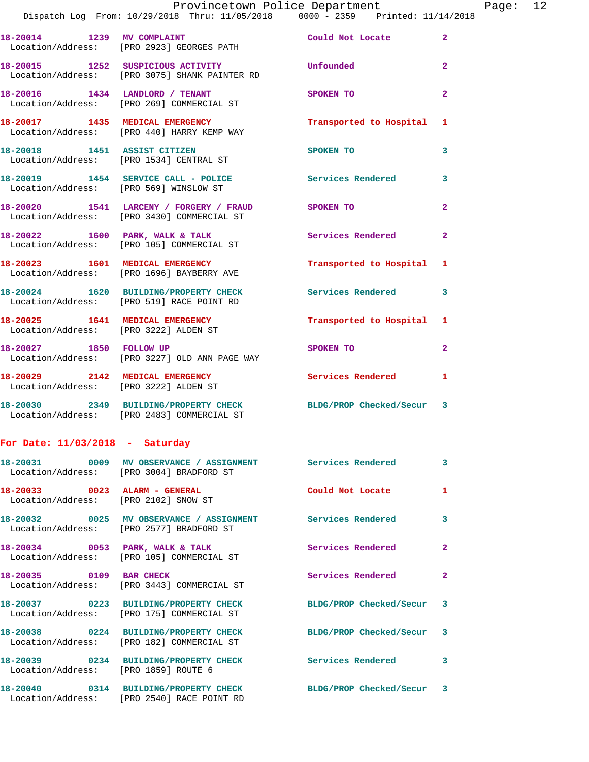## Provincetown Police Department Fage: 12 Dispatch Log From: 10/29/2018 Thru: 11/05/2018 0000 - 2359 Printed: 11/14/2018 **18-20014 1239 MV COMPLAINT Could Not Locate 2**  Location/Address: [PRO 2923] GEORGES PATH **18-20015 1252 SUSPICIOUS ACTIVITY Unfounded 2**  Location/Address: [PRO 3075] SHANK PAINTER RD **18-20016 1434 LANDLORD / TENANT SPOKEN TO 2**  Location/Address: [PRO 269] COMMERCIAL ST **18-20017 1435 MEDICAL EMERGENCY Transported to Hospital 1**  Location/Address: [PRO 440] HARRY KEMP WAY **18-20018 1451 ASSIST CITIZEN SPOKEN TO 3**  Location/Address: [PRO 1534] CENTRAL ST 18-20019 1454 SERVICE CALL - POLICE 3<br>
3 Location/Address: [PRO 569] WINSLOW ST **18-20020 1541 LARCENY / FORGERY / FRAUD SPOKEN TO 2**  Location/Address: [PRO 3430] COMMERCIAL ST 18-20022 1600 PARK, WALK & TALK **Services Rendered** 2 Location/Address: [PRO 105] COMMERCIAL ST **18-20023 1601 MEDICAL EMERGENCY Transported to Hospital 1**  Location/Address: [PRO 1696] BAYBERRY AVE **18-20024 1620 BUILDING/PROPERTY CHECK Services Rendered 3**  Location/Address: [PRO 519] RACE POINT RD **18-20025 1641 MEDICAL EMERGENCY Transported to Hospital 1**  Location/Address: [PRO 3222] ALDEN ST **18-20027 1850 FOLLOW UP SPOKEN TO 2**  Location/Address: [PRO 3227] OLD ANN PAGE WAY **18-20029 2142 MEDICAL EMERGENCY Services Rendered 1**  Location/Address: [PRO 3222] ALDEN ST **18-20030 2349 BUILDING/PROPERTY CHECK BLDG/PROP Checked/Secur 3**  Location/Address: [PRO 2483] COMMERCIAL ST

## **For Date: 11/03/2018 - Saturday**

|                                      | Location/Address: [PRO 3004] BRADFORD ST                                                                      |                           | $\overline{3}$ |
|--------------------------------------|---------------------------------------------------------------------------------------------------------------|---------------------------|----------------|
| Location/Address: [PRO 2102] SNOW ST |                                                                                                               | Could Not Locate          | $\mathbf{1}$   |
|                                      | Location/Address: [PRO 2577] BRADFORD ST                                                                      |                           | $\mathbf{3}$   |
|                                      | 18-20034 0053 PARK, WALK & TALK<br>Location/Address: [PRO 105] COMMERCIAL ST                                  | <b>Services Rendered</b>  | $\overline{2}$ |
| 18-20035 0109 BAR CHECK              | Location/Address: [PRO 3443] COMMERCIAL ST                                                                    | Services Rendered         | $\overline{2}$ |
|                                      | 18-20037  0223 BUILDING/PROPERTY CHECK<br>Location/Address: [PRO 175] COMMERCIAL ST                           | BLDG/PROP Checked/Secur 3 |                |
|                                      | 18-20038 0224 BUILDING/PROPERTY CHECK BLDG/PROP Checked/Secur 3<br>Location/Address: [PRO 182] COMMERCIAL ST  |                           |                |
| Location/Address: [PRO 1859] ROUTE 6 | 18-20039 0234 BUILDING/PROPERTY CHECK Services Rendered                                                       |                           | $\mathbf{3}$   |
|                                      | 18-20040 0314 BUILDING/PROPERTY CHECK BLDG/PROP Checked/Secur 3<br>Location/Address: [PRO 2540] RACE POINT RD |                           |                |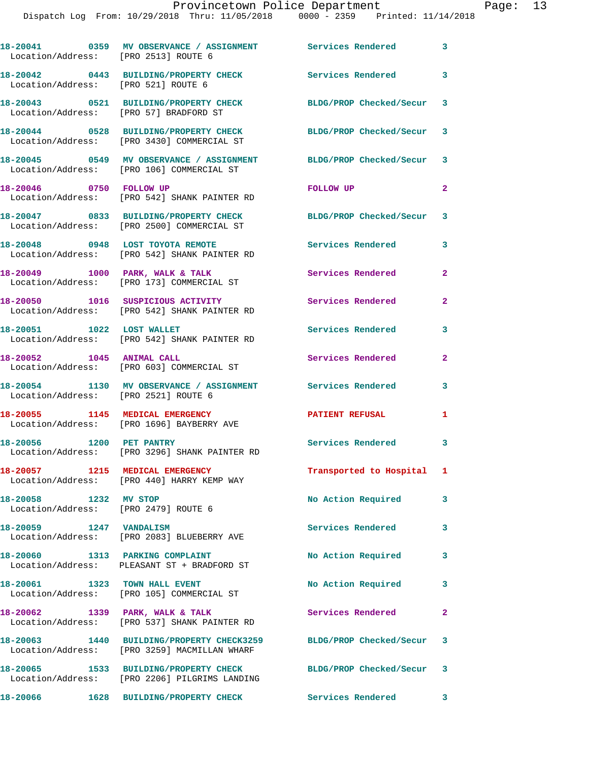| Location/Address: [PRO 2513] ROUTE 6                          | 18-20041 0359 MV OBSERVANCE / ASSIGNMENT Services Rendered 3                                                        |                           |              |
|---------------------------------------------------------------|---------------------------------------------------------------------------------------------------------------------|---------------------------|--------------|
| Location/Address: [PRO 521] ROUTE 6                           | 18-20042 0443 BUILDING/PROPERTY CHECK Services Rendered 3                                                           |                           |              |
| Location/Address: [PRO 57] BRADFORD ST                        | 18-20043 0521 BUILDING/PROPERTY CHECK                                                                               | BLDG/PROP Checked/Secur 3 |              |
|                                                               | 18-20044 0528 BUILDING/PROPERTY CHECK<br>Location/Address: [PRO 3430] COMMERCIAL ST                                 | BLDG/PROP Checked/Secur 3 |              |
|                                                               | 18-20045  0549 MV OBSERVANCE / ASSIGNMENT<br>Location/Address: [PRO 106] COMMERCIAL ST                              | BLDG/PROP Checked/Secur 3 |              |
| 18-20046 0750 FOLLOW UP                                       | Location/Address: [PRO 542] SHANK PAINTER RD                                                                        | FOLLOW UP                 | $\mathbf{2}$ |
|                                                               | 18-20047 0833 BUILDING/PROPERTY CHECK<br>Location/Address: [PRO 2500] COMMERCIAL ST                                 | BLDG/PROP Checked/Secur 3 |              |
|                                                               | 18-20048 0948 LOST TOYOTA REMOTE<br>Location/Address: [PRO 542] SHANK PAINTER RD                                    | <b>Services Rendered</b>  | 3            |
|                                                               | 18-20049 1000 PARK, WALK & TALK<br>Location/Address: [PRO 173] COMMERCIAL ST                                        | Services Rendered         | $\mathbf{2}$ |
|                                                               | 18-20050 1016 SUSPICIOUS ACTIVITY<br>Location/Address: [PRO 542] SHANK PAINTER RD                                   | <b>Services Rendered</b>  | $\mathbf{2}$ |
| 18-20051 1022 LOST WALLET                                     | Location/Address: [PRO 542] SHANK PAINTER RD                                                                        | Services Rendered         | 3            |
|                                                               | 18-20052 1045 ANIMAL CALL<br>Location/Address: [PRO 603] COMMERCIAL ST                                              | Services Rendered         | $\mathbf{2}$ |
| Location/Address: [PRO 2521] ROUTE 6                          | 18-20054 1130 MV OBSERVANCE / ASSIGNMENT Services Rendered                                                          |                           | 3            |
|                                                               | 18-20055 1145 MEDICAL EMERGENCY<br>Location/Address: [PRO 1696] BAYBERRY AVE                                        | <b>PATIENT REFUSAL</b>    | 1            |
| 18-20056 1200 PET PANTRY                                      | Location/Address: [PRO 3296] SHANK PAINTER RD                                                                       | Services Rendered         | 3            |
|                                                               | 18-20057 1215 MEDICAL EMERGENCY<br>Location/Address: [PRO 440] HARRY KEMP WAY                                       | Transported to Hospital 1 |              |
| 18-20058 1232 MV STOP<br>Location/Address: [PRO 2479] ROUTE 6 |                                                                                                                     | No Action Required        | 3            |
| 18-20059    1247    VANDALISM                                 | Location/Address: [PRO 2083] BLUEBERRY AVE                                                                          | Services Rendered         | 3            |
| 18-20060 1313 PARKING COMPLAINT                               | Location/Address: PLEASANT ST + BRADFORD ST                                                                         | No Action Required        | 3            |
| 18-20061 1323 TOWN HALL EVENT                                 | Location/Address: [PRO 105] COMMERCIAL ST                                                                           | No Action Required        | 3            |
| 18-20062 1339 PARK, WALK & TALK                               | Location/Address: [PRO 537] SHANK PAINTER RD                                                                        | Services Rendered         | $\mathbf{2}$ |
|                                                               | 18-20063 1440 BUILDING/PROPERTY CHECK3259 BLDG/PROP Checked/Secur 3<br>Location/Address: [PRO 3259] MACMILLAN WHARF |                           |              |
|                                                               | 18-20065 1533 BUILDING/PROPERTY CHECK<br>Location/Address: [PRO 2206] PILGRIMS LANDING                              | BLDG/PROP Checked/Secur 3 |              |
| 18-20066                                                      | 1628 BUILDING/PROPERTY CHECK                                                                                        | Services Rendered 3       |              |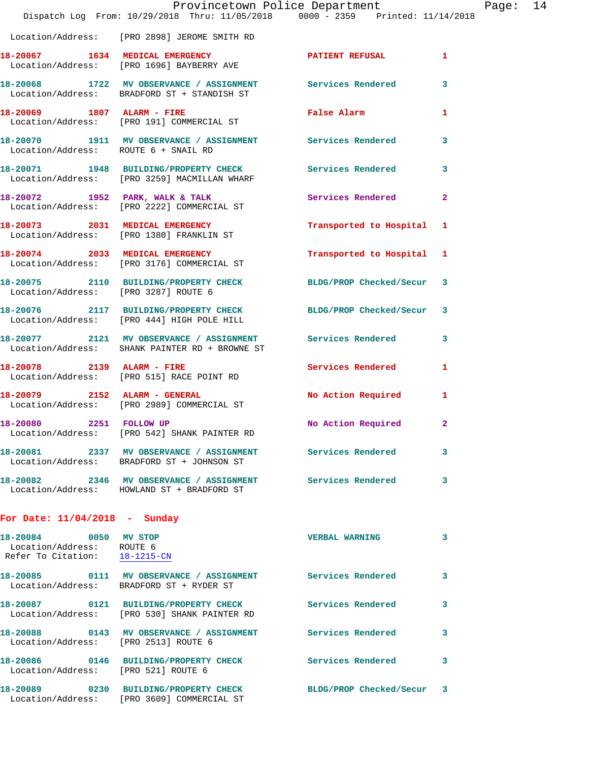|                                                                                     | Provincetown Police Department<br>Dispatch Log From: 10/29/2018 Thru: 11/05/2018 0000 - 2359 Printed: 11/14/2018 |                          |              |
|-------------------------------------------------------------------------------------|------------------------------------------------------------------------------------------------------------------|--------------------------|--------------|
|                                                                                     | Location/Address: [PRO 2898] JEROME SMITH RD                                                                     |                          |              |
|                                                                                     | 18-20067 1634 MEDICAL EMERGENCY<br>Location/Address: [PRO 1696] BAYBERRY AVE                                     | <b>PATIENT REFUSAL</b>   | 1            |
|                                                                                     | 18-20068 1722 MV OBSERVANCE / ASSIGNMENT Services Rendered<br>Location/Address: BRADFORD ST + STANDISH ST        |                          | 3            |
| 18-20069 1807 ALARM - FIRE                                                          | Location/Address: [PRO 191] COMMERCIAL ST                                                                        | False Alarm              | 1            |
| Location/Address: ROUTE 6 + SNAIL RD                                                | 18-20070 1911 MV OBSERVANCE / ASSIGNMENT Services Rendered                                                       |                          | 3            |
|                                                                                     | 18-20071 1948 BUILDING/PROPERTY CHECK Services Rendered<br>Location/Address: [PRO 3259] MACMILLAN WHARF          |                          | 3            |
|                                                                                     | 18-20072 1952 PARK, WALK & TALK<br>Location/Address: [PRO 2222] COMMERCIAL ST                                    | Services Rendered        | 2            |
|                                                                                     | 18-20073 2031 MEDICAL EMERGENCY<br>Location/Address: [PRO 1380] FRANKLIN ST                                      | Transported to Hospital  | 1            |
|                                                                                     | 18-20074 2033 MEDICAL EMERGENCY<br>Location/Address: [PRO 3176] COMMERCIAL ST                                    | Transported to Hospital  | 1            |
| Location/Address: [PRO 3287] ROUTE 6                                                | 18-20075 2110 BUILDING/PROPERTY CHECK                                                                            | BLDG/PROP Checked/Secur  | 3            |
|                                                                                     | 18-20076 2117 BUILDING/PROPERTY CHECK<br>Location/Address: [PRO 444] HIGH POLE HILL                              | BLDG/PROP Checked/Secur  | 3            |
|                                                                                     | 18-20077 2121 MV OBSERVANCE / ASSIGNMENT<br>Location/Address: SHANK PAINTER RD + BROWNE ST                       | Services Rendered        | з            |
|                                                                                     | 18-20078 2139 ALARM - FIRE<br>Location/Address: [PRO 515] RACE POINT RD                                          | <b>Services Rendered</b> | 1            |
| 18-20079 2152 ALARM - GENERAL                                                       | Location/Address: [PRO 2989] COMMERCIAL ST                                                                       | No Action Required       | 1            |
| 18-20080 2251 FOLLOW UP                                                             | Location/Address: [PRO 542] SHANK PAINTER RD                                                                     | No Action Required       | $\mathbf{2}$ |
|                                                                                     | 18-20081 2337 MV OBSERVANCE / ASSIGNMENT Services Rendered<br>Location/Address: BRADFORD ST + JOHNSON ST         |                          | 3            |
|                                                                                     | 18-20082 2346 MV OBSERVANCE / ASSIGNMENT Services Rendered<br>Location/Address: HOWLAND ST + BRADFORD ST         |                          | 3.           |
| For Date: $11/04/2018$ - Sunday                                                     |                                                                                                                  |                          |              |
| 18-20084 0050 MV STOP<br>Location/Address: ROUTE 6<br>Refer To Citation: 18-1215-CN |                                                                                                                  | <b>VERBAL WARNING</b>    | 3            |
|                                                                                     | 18-20085 0111 MV OBSERVANCE / ASSIGNMENT Services Rendered<br>Location/Address: BRADFORD ST + RYDER ST           |                          | 3            |
|                                                                                     | 18-20087 0121 BUILDING/PROPERTY CHECK<br>Location/Address: [PRO 530] SHANK PAINTER RD                            | <b>Services Rendered</b> | 3            |
| Location/Address: [PRO 2513] ROUTE 6                                                | 18-20088 0143 MV OBSERVANCE / ASSIGNMENT Services Rendered                                                       |                          | 3            |
| Location/Address: [PRO 521] ROUTE 6                                                 | 18-20086 0146 BUILDING/PROPERTY CHECK                                                                            | Services Rendered        | 3            |
|                                                                                     | 18-20089 0230 BUILDING/PROPERTY CHECK<br>Location/Address: [PRO 3609] COMMERCIAL ST                              | BLDG/PROP Checked/Secur  | 3            |

Page:  $14$ <br>18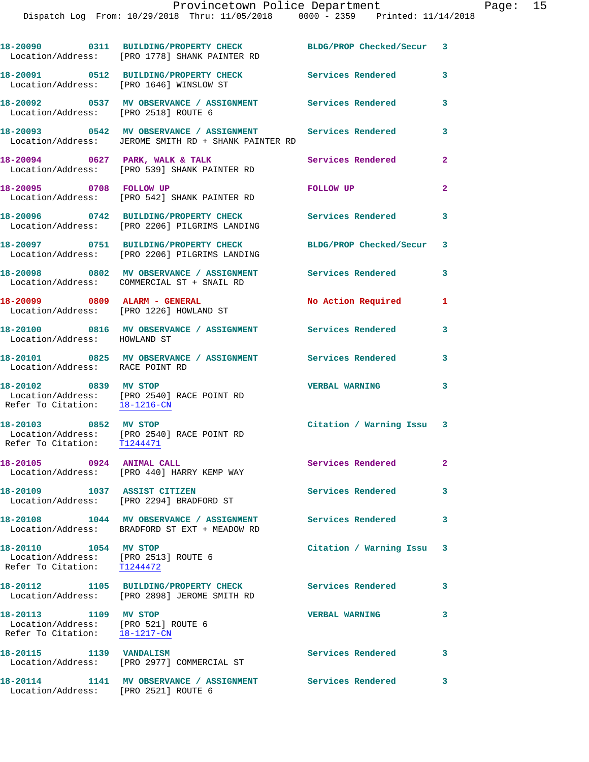|                                                                                               | 18-20090 0311 BUILDING/PROPERTY CHECK BLDG/PROP Checked/Secur 3<br>Location/Address: [PRO 1778] SHANK PAINTER RD   |                           |                            |
|-----------------------------------------------------------------------------------------------|--------------------------------------------------------------------------------------------------------------------|---------------------------|----------------------------|
|                                                                                               | 18-20091 0512 BUILDING/PROPERTY CHECK<br>Location/Address: [PRO 1646] WINSLOW ST                                   | <b>Services Rendered</b>  | 3                          |
| Location/Address: [PRO 2518] ROUTE 6                                                          | 18-20092 0537 MV OBSERVANCE / ASSIGNMENT Services Rendered                                                         |                           | 3                          |
|                                                                                               | 18-20093 0542 MV OBSERVANCE / ASSIGNMENT Services Rendered<br>Location/Address: JEROME SMITH RD + SHANK PAINTER RD |                           | $\mathbf{3}$               |
|                                                                                               | 18-20094 0627 PARK, WALK & TALK<br>Location/Address: [PRO 539] SHANK PAINTER RD                                    | Services Rendered         | $\overline{2}$             |
| 18-20095 0708 FOLLOW UP                                                                       | Location/Address: [PRO 542] SHANK PAINTER RD                                                                       | FOLLOW UP                 | $\overline{2}$             |
|                                                                                               | 18-20096 0742 BUILDING/PROPERTY CHECK<br>Location/Address: [PRO 2206] PILGRIMS LANDING                             | Services Rendered         | $\mathbf{3}$               |
|                                                                                               | 18-20097 0751 BUILDING/PROPERTY CHECK<br>Location/Address: [PRO 2206] PILGRIMS LANDING                             | BLDG/PROP Checked/Secur 3 |                            |
|                                                                                               | 18-20098 0802 MV OBSERVANCE / ASSIGNMENT<br>Location/Address: COMMERCIAL ST + SNAIL RD                             | <b>Services Rendered</b>  | 3                          |
| 18-20099 0809 ALARM - GENERAL                                                                 | Location/Address: [PRO 1226] HOWLAND ST                                                                            | No Action Required        | 1                          |
| Location/Address: HOWLAND ST                                                                  | 18-20100 0816 MV OBSERVANCE / ASSIGNMENT Services Rendered                                                         |                           | 3                          |
| Location/Address: RACE POINT RD                                                               | 18-20101 0825 MV OBSERVANCE / ASSIGNMENT Services Rendered                                                         |                           | 3                          |
| 18-20102 0839 MV STOP<br>Refer To Citation: 18-1216-CN                                        | Location/Address: [PRO 2540] RACE POINT RD                                                                         | <b>VERBAL WARNING</b>     | 3                          |
| 18-20103 0852 MV STOP                                                                         | Location/Address: [PRO 2540] RACE POINT RD<br>Refer To Citation: T1244471                                          | Citation / Warning Issu 3 |                            |
| 18-20105 0924 ANIMAL CALL                                                                     | Location/Address: [PRO 440] HARRY KEMP WAY                                                                         | <b>Services Rendered</b>  |                            |
| 18-20109 1037 ASSIST CITIZEN                                                                  | Location/Address: [PRO 2294] BRADFORD ST                                                                           | <b>Services Rendered</b>  | $\overline{\mathbf{3}}$    |
|                                                                                               | 18-20108 1044 MV OBSERVANCE / ASSIGNMENT<br>Location/Address: BRADFORD ST EXT + MEADOW RD                          | <b>Services Rendered</b>  | $\mathbf{3}$               |
| 18-20110 1054 MV STOP<br>Location/Address: [PRO 2513] ROUTE 6<br>Refer To Citation: T1244472  |                                                                                                                    | Citation / Warning Issu 3 |                            |
|                                                                                               | 18-20112 1105 BUILDING/PROPERTY CHECK Services Rendered 3<br>Location/Address: [PRO 2898] JEROME SMITH RD          |                           |                            |
| 18-20113 1109 MV STOP<br>Location/Address: [PRO 521] ROUTE 6<br>Refer To Citation: 18-1217-CN |                                                                                                                    | <b>VERBAL WARNING</b>     | $\mathbf{3}$               |
| 18-20115 1139 VANDALISM                                                                       | Location/Address: [PRO 2977] COMMERCIAL ST                                                                         | Services Rendered         | $\overline{\phantom{a}}$ 3 |
| Location/Address: [PRO 2521] ROUTE 6                                                          | 18-20114 1141 MV OBSERVANCE / ASSIGNMENT Services Rendered                                                         |                           | $\overline{\mathbf{3}}$    |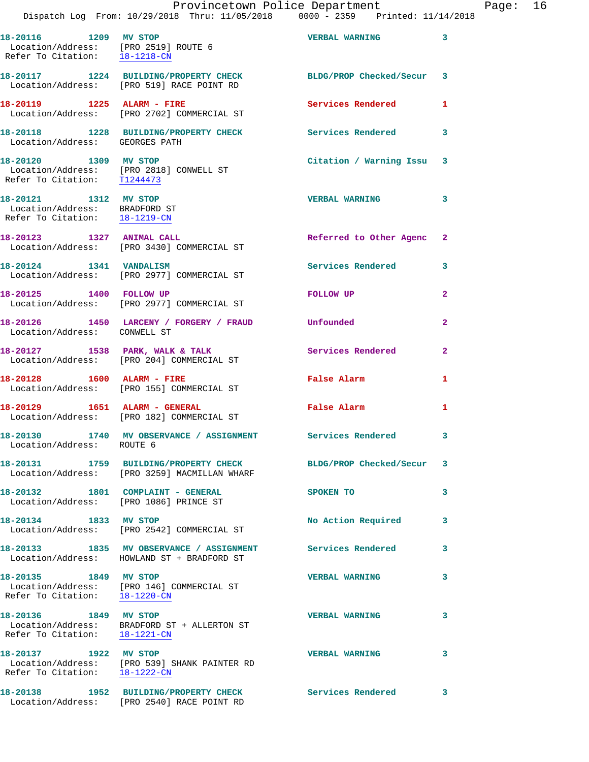|                                                                                         | Dispatch Log From: 10/29/2018 Thru: 11/05/2018 0000 - 2359 Printed: 11/14/2018         | Provincetown Police Department | E              |
|-----------------------------------------------------------------------------------------|----------------------------------------------------------------------------------------|--------------------------------|----------------|
|                                                                                         |                                                                                        |                                |                |
| 18-20116 1209 MV STOP                                                                   | Location/Address: [PRO 2519] ROUTE 6<br>Refer To Citation: 18-1218-CN                  | <b>VERBAL WARNING</b>          | 3              |
|                                                                                         | 18-20117 1224 BUILDING/PROPERTY CHECK<br>Location/Address: [PRO 519] RACE POINT RD     | BLDG/PROP Checked/Secur 3      |                |
| 18-20119 1225 ALARM - FIRE                                                              | Location/Address: [PRO 2702] COMMERCIAL ST                                             | Services Rendered              | 1              |
| Location/Address: GEORGES PATH                                                          | 18-20118 1228 BUILDING/PROPERTY CHECK                                                  | <b>Services Rendered</b>       | 3              |
| 18-20120 1309 MV STOP<br>Refer To Citation: T1244473                                    | Location/Address: [PRO 2818] CONWELL ST                                                | Citation / Warning Issu 3      |                |
| 18-20121 1312 MV STOP<br>Location/Address: BRADFORD ST<br>Refer To Citation: 18-1219-CN |                                                                                        | <b>VERBAL WARNING</b>          | 3              |
|                                                                                         | 18-20123 1327 ANIMAL CALL<br>Location/Address: [PRO 3430] COMMERCIAL ST                | Referred to Other Agenc        | 2              |
| 18-20124 1341 VANDALISM                                                                 | Location/Address: [PRO 2977] COMMERCIAL ST                                             | <b>Services Rendered</b>       | 3              |
| 18-20125 1400 FOLLOW UP                                                                 | Location/Address: [PRO 2977] COMMERCIAL ST                                             | FOLLOW UP                      | 2              |
| Location/Address: CONWELL ST                                                            | 18-20126 1450 LARCENY / FORGERY / FRAUD Unfounded                                      |                                | $\overline{2}$ |
|                                                                                         | 18-20127 1538 PARK, WALK & TALK<br>Location/Address: [PRO 204] COMMERCIAL ST           | <b>Services Rendered</b>       | 2              |
| 18-20128   1600   ALARM - FIRE                                                          | Location/Address: [PRO 155] COMMERCIAL ST                                              | False Alarm                    | 1              |
|                                                                                         | 18-20129   1651   ALARM - GENERAL<br>Location/Address: [PRO 182] COMMERCIAL ST         | False Alarm                    | 1              |
| 18-20130<br>Location/Address: ROUTE 6                                                   | 1740 MV OBSERVANCE / ASSIGNMENT                                                        | Services Rendered              | 3              |
|                                                                                         | 18-20131 1759 BUILDING/PROPERTY CHECK<br>Location/Address: [PRO 3259] MACMILLAN WHARF  | BLDG/PROP Checked/Secur        | 3              |
|                                                                                         | 18-20132 1801 COMPLAINT - GENERAL<br>Location/Address: [PRO 1086] PRINCE ST            | SPOKEN TO                      | 3              |
| 18-20134 1833 MV STOP                                                                   | Location/Address: [PRO 2542] COMMERCIAL ST                                             | No Action Required             | 3              |
|                                                                                         | 18-20133 1835 MV OBSERVANCE / ASSIGNMENT<br>Location/Address: HOWLAND ST + BRADFORD ST | Services Rendered              | 3              |
| 18-20135 1849 MV STOP<br>Refer To Citation:                                             | Location/Address: [PRO 146] COMMERCIAL ST<br>18-1220-CN                                | <b>VERBAL WARNING</b>          | 3              |
| 18-20136 1849 MV STOP                                                                   | Location/Address: BRADFORD ST + ALLERTON ST<br>Refer To Citation: 18-1221-CN           | <b>VERBAL WARNING</b>          | 3              |
| 18-20137 1922 MV STOP<br>Refer To Citation: 18-1222-CN                                  | Location/Address: [PRO 539] SHANK PAINTER RD                                           | <b>VERBAL WARNING</b>          | 3              |
|                                                                                         |                                                                                        |                                |                |

Location/Address: [PRO 2540] RACE POINT RD

**18-20138 1952 BUILDING/PROPERTY CHECK Services Rendered 3** 

Page: 16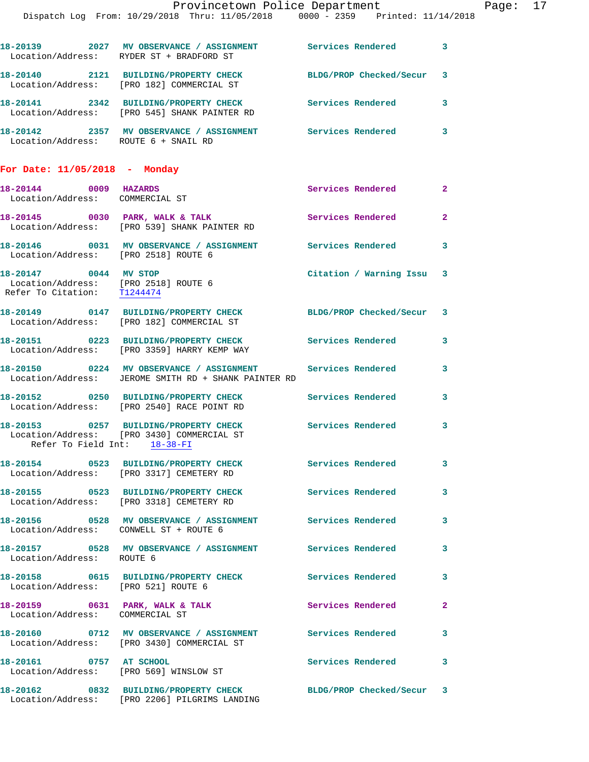|                                                                                              | Provincetown Police Department                                                                                                   |                         |                |
|----------------------------------------------------------------------------------------------|----------------------------------------------------------------------------------------------------------------------------------|-------------------------|----------------|
|                                                                                              | Dispatch Log From: 10/29/2018 Thru: 11/05/2018 0000 - 2359 Printed: 11/14/2018                                                   |                         |                |
|                                                                                              | 18-20139 2027 MV OBSERVANCE / ASSIGNMENT Services Rendered<br>Location/Address: RYDER ST + BRADFORD ST                           |                         | $\mathbf{3}$   |
|                                                                                              | 18-20140 2121 BUILDING/PROPERTY CHECK<br>Location/Address: [PRO 182] COMMERCIAL ST                                               | BLDG/PROP Checked/Secur | 3              |
|                                                                                              | 18-20141 2342 BUILDING/PROPERTY CHECK Services Rendered<br>Location/Address: [PRO 545] SHANK PAINTER RD                          |                         | 3              |
| Location/Address: ROUTE 6 + SNAIL RD                                                         | 18-20142 2357 MV OBSERVANCE / ASSIGNMENT Services Rendered                                                                       |                         | 3              |
| For Date: $11/05/2018$ - Monday                                                              |                                                                                                                                  |                         |                |
| 18-20144 0009 HAZARDS<br>Location/Address: COMMERCIAL ST                                     |                                                                                                                                  | Services Rendered       | $\overline{2}$ |
|                                                                                              | 18-20145 0030 PARK, WALK & TALK<br>Location/Address: [PRO 539] SHANK PAINTER RD                                                  | Services Rendered       | $\mathbf{2}$   |
| Location/Address: [PRO 2518] ROUTE 6                                                         | 18-20146  0031 MV OBSERVANCE / ASSIGNMENT Services Rendered                                                                      |                         | 3              |
| 18-20147 0044 MV STOP<br>Location/Address: [PRO 2518] ROUTE 6<br>Refer To Citation: T1244474 |                                                                                                                                  | Citation / Warning Issu | 3              |
|                                                                                              | 18-20149 0147 BUILDING/PROPERTY CHECK BLDG/PROP Checked/Secur<br>Location/Address: [PRO 182] COMMERCIAL ST                       |                         | 3              |
|                                                                                              | 18-20151 0223 BUILDING/PROPERTY CHECK Services Rendered<br>Location/Address: [PRO 3359] HARRY KEMP WAY                           |                         | 3              |
|                                                                                              | 18-20150       0224   MV OBSERVANCE / ASSIGNMENT       Services Rendered<br>Location/Address: JEROME SMITH RD + SHANK PAINTER RD |                         | 3              |
|                                                                                              | 18-20152 0250 BUILDING/PROPERTY CHECK Services Rendered<br>Location/Address: [PRO 2540] RACE POINT RD                            |                         | 3              |
| Refer To Field Int: 18-38-FI                                                                 | 18-20153 0257 BUILDING/PROPERTY CHECK<br>Location/Address: [PRO 3430] COMMERCIAL ST                                              | Services Rendered       | 3              |
|                                                                                              | 18-20154 0523 BUILDING/PROPERTY CHECK<br>Location/Address: [PRO 3317] CEMETERY RD                                                | Services Rendered       | 3              |
|                                                                                              | 18-20155 0523 BUILDING/PROPERTY CHECK<br>Location/Address: [PRO 3318] CEMETERY RD                                                | Services Rendered       | 3              |
| Location/Address: CONWELL ST + ROUTE 6                                                       |                                                                                                                                  | Services Rendered       | 3              |
|                                                                                              |                                                                                                                                  |                         |                |

**18-20157 0528 MV OBSERVANCE / ASSIGNMENT Services Rendered 3**  Location/Address: ROUTE 6 **18-20158 0615 BUILDING/PROPERTY CHECK Services Rendered 3**  Location/Address: [PRO 521] ROUTE 6 18-20159 **0631 PARK, WALK & TALK** Services Rendered 2 Location/Address: COMMERCIAL ST **18-20160 0712 MV OBSERVANCE / ASSIGNMENT Services Rendered 3**  Location/Address: [PRO 3430] COMMERCIAL ST **18-20161 0757 AT SCHOOL Services Rendered 3**  Location/Address: [PRO 569] WINSLOW ST **18-20162 0832 BUILDING/PROPERTY CHECK BLDG/PROP Checked/Secur 3**